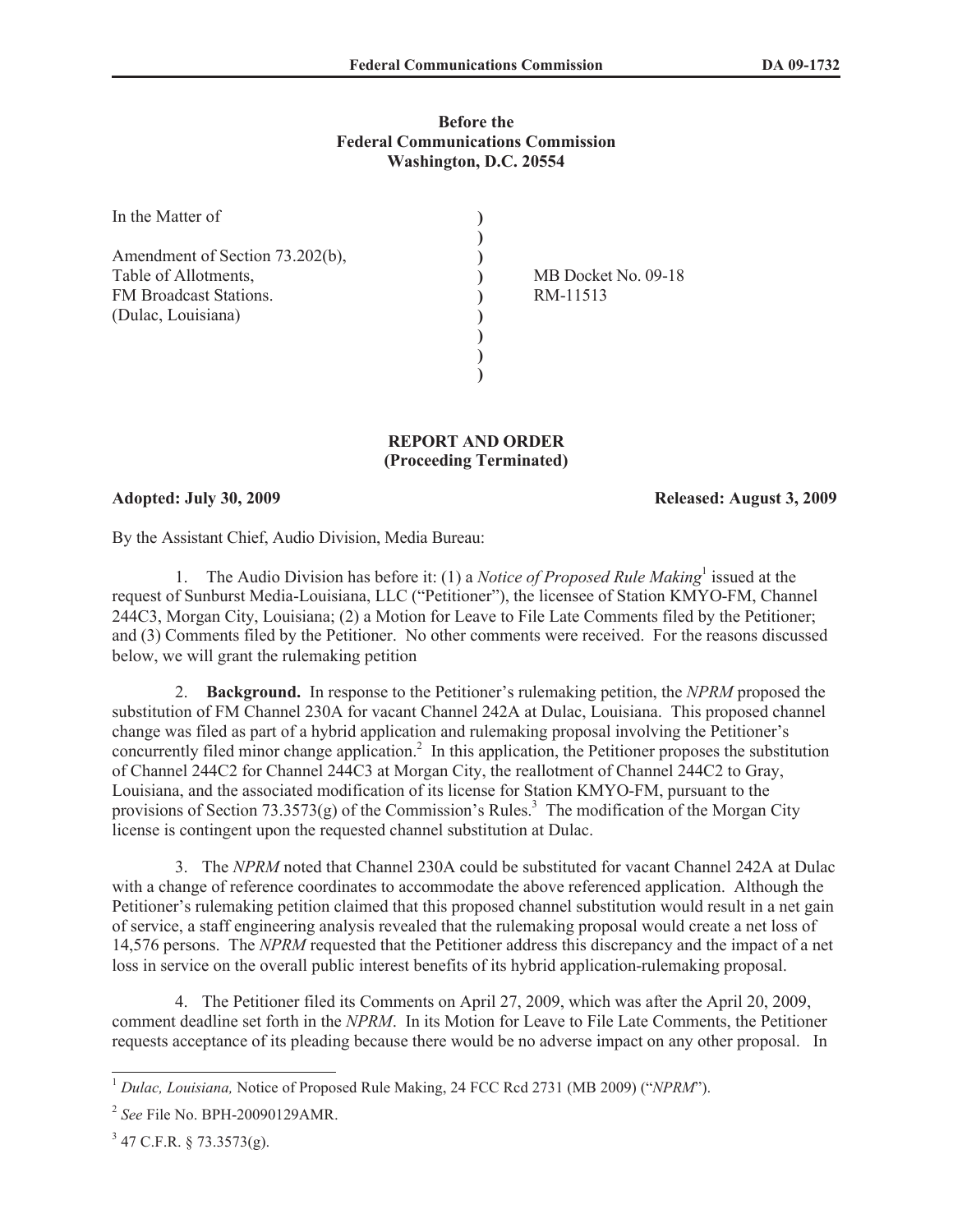## **Before the Federal Communications Commission Washington, D.C. 20554**

| In the Matter of                |                     |
|---------------------------------|---------------------|
|                                 |                     |
| Amendment of Section 73.202(b), |                     |
| Table of Allotments,            | MB Docket No. 09-18 |
| FM Broadcast Stations.          | RM-11513            |
| (Dulac, Louisiana)              |                     |
|                                 |                     |
|                                 |                     |
|                                 |                     |

## **REPORT AND ORDER (Proceeding Terminated)**

## **Adopted: July 30, 2009 Released: August 3, 2009**

By the Assistant Chief, Audio Division, Media Bureau:

1. The Audio Division has before it: (1) a *Notice of Proposed Rule Making*<sup>1</sup> issued at the request of Sunburst Media-Louisiana, LLC ("Petitioner"), the licensee of Station KMYO-FM, Channel 244C3, Morgan City, Louisiana; (2) a Motion for Leave to File Late Comments filed by the Petitioner; and (3) Comments filed by the Petitioner. No other comments were received. For the reasons discussed below, we will grant the rulemaking petition

2. **Background.** In response to the Petitioner's rulemaking petition, the *NPRM* proposed the substitution of FM Channel 230A for vacant Channel 242A at Dulac, Louisiana. This proposed channel change was filed as part of a hybrid application and rulemaking proposal involving the Petitioner's concurrently filed minor change application.<sup>2</sup> In this application, the Petitioner proposes the substitution of Channel 244C2 for Channel 244C3 at Morgan City, the reallotment of Channel 244C2 to Gray, Louisiana, and the associated modification of its license for Station KMYO-FM, pursuant to the provisions of Section 73.3573(g) of the Commission's Rules.<sup>3</sup> The modification of the Morgan City license is contingent upon the requested channel substitution at Dulac.

3. The *NPRM* noted that Channel 230A could be substituted for vacant Channel 242A at Dulac with a change of reference coordinates to accommodate the above referenced application. Although the Petitioner's rulemaking petition claimed that this proposed channel substitution would result in a net gain of service, a staff engineering analysis revealed that the rulemaking proposal would create a net loss of 14,576 persons. The *NPRM* requested that the Petitioner address this discrepancy and the impact of a net loss in service on the overall public interest benefits of its hybrid application-rulemaking proposal.

4. The Petitioner filed its Comments on April 27, 2009, which was after the April 20, 2009, comment deadline set forth in the *NPRM*. In its Motion for Leave to File Late Comments, the Petitioner requests acceptance of its pleading because there would be no adverse impact on any other proposal. In

<sup>1</sup> *Dulac, Louisiana,* Notice of Proposed Rule Making, 24 FCC Rcd 2731 (MB 2009) ("*NPRM*").

<sup>2</sup> *See* File No. BPH-20090129AMR.

 $3$  47 C.F.R. § 73.3573(g).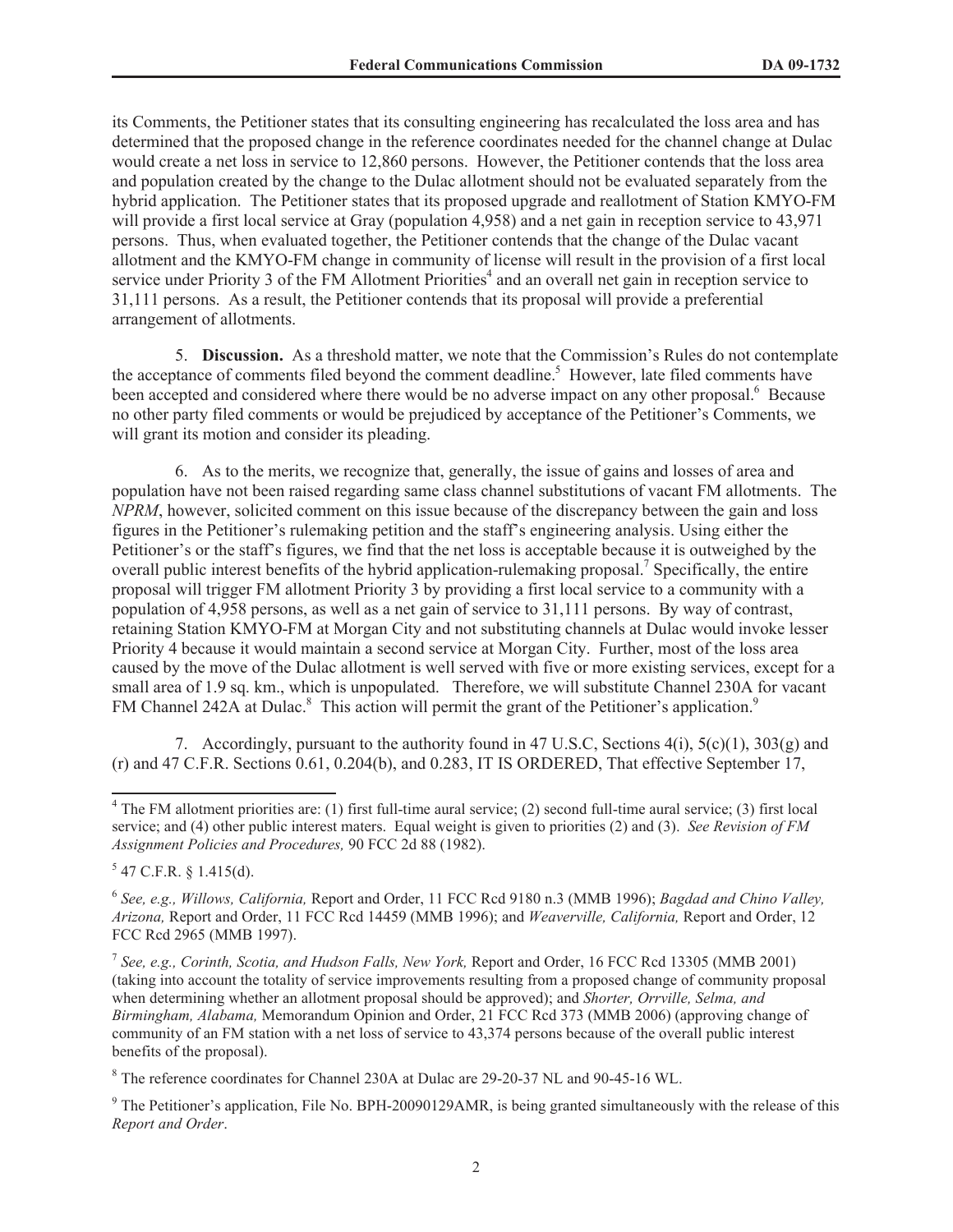its Comments, the Petitioner states that its consulting engineering has recalculated the loss area and has determined that the proposed change in the reference coordinates needed for the channel change at Dulac would create a net loss in service to 12,860 persons. However, the Petitioner contends that the loss area and population created by the change to the Dulac allotment should not be evaluated separately from the hybrid application. The Petitioner states that its proposed upgrade and reallotment of Station KMYO-FM will provide a first local service at Gray (population 4,958) and a net gain in reception service to 43,971 persons. Thus, when evaluated together, the Petitioner contends that the change of the Dulac vacant allotment and the KMYO-FM change in community of license will result in the provision of a first local service under Priority 3 of the FM Allotment Priorities<sup>4</sup> and an overall net gain in reception service to 31,111 persons. As a result, the Petitioner contends that its proposal will provide a preferential arrangement of allotments.

5. **Discussion.** As a threshold matter, we note that the Commission's Rules do not contemplate the acceptance of comments filed beyond the comment deadline.<sup>5</sup> However, late filed comments have been accepted and considered where there would be no adverse impact on any other proposal.<sup>6</sup> Because no other party filed comments or would be prejudiced by acceptance of the Petitioner's Comments, we will grant its motion and consider its pleading.

6. As to the merits, we recognize that, generally, the issue of gains and losses of area and population have not been raised regarding same class channel substitutions of vacant FM allotments. The *NPRM*, however, solicited comment on this issue because of the discrepancy between the gain and loss figures in the Petitioner's rulemaking petition and the staff's engineering analysis. Using either the Petitioner's or the staff's figures, we find that the net loss is acceptable because it is outweighed by the overall public interest benefits of the hybrid application-rulemaking proposal.<sup>7</sup> Specifically, the entire proposal will trigger FM allotment Priority 3 by providing a first local service to a community with a population of 4,958 persons, as well as a net gain of service to 31,111 persons. By way of contrast, retaining Station KMYO-FM at Morgan City and not substituting channels at Dulac would invoke lesser Priority 4 because it would maintain a second service at Morgan City. Further, most of the loss area caused by the move of the Dulac allotment is well served with five or more existing services, except for a small area of 1.9 sq. km., which is unpopulated. Therefore, we will substitute Channel 230A for vacant FM Channel 242A at Dulac.<sup>8</sup> This action will permit the grant of the Petitioner's application.<sup>9</sup>

7. Accordingly, pursuant to the authority found in 47 U.S.C, Sections 4(i), 5(c)(1), 303(g) and (r) and 47 C.F.R. Sections 0.61, 0.204(b), and 0.283, IT IS ORDERED, That effective September 17,

<sup>4</sup> The FM allotment priorities are: (1) first full-time aural service; (2) second full-time aural service; (3) first local service; and (4) other public interest maters. Equal weight is given to priorities (2) and (3). *See Revision of FM Assignment Policies and Procedures,* 90 FCC 2d 88 (1982).

 $5$  47 C.F.R. § 1.415(d).

<sup>6</sup> *See, e.g., Willows, California,* Report and Order, 11 FCC Rcd 9180 n.3 (MMB 1996); *Bagdad and Chino Valley, Arizona,* Report and Order, 11 FCC Rcd 14459 (MMB 1996); and *Weaverville, California,* Report and Order, 12 FCC Rcd 2965 (MMB 1997).

<sup>7</sup> *See, e.g., Corinth, Scotia, and Hudson Falls, New York,* Report and Order, 16 FCC Rcd 13305 (MMB 2001) (taking into account the totality of service improvements resulting from a proposed change of community proposal when determining whether an allotment proposal should be approved); and *Shorter, Orrville, Selma, and Birmingham, Alabama,* Memorandum Opinion and Order, 21 FCC Rcd 373 (MMB 2006) (approving change of community of an FM station with a net loss of service to 43,374 persons because of the overall public interest benefits of the proposal).

<sup>8</sup> The reference coordinates for Channel 230A at Dulac are 29-20-37 NL and 90-45-16 WL.

<sup>&</sup>lt;sup>9</sup> The Petitioner's application, File No. BPH-20090129AMR, is being granted simultaneously with the release of this *Report and Order*.